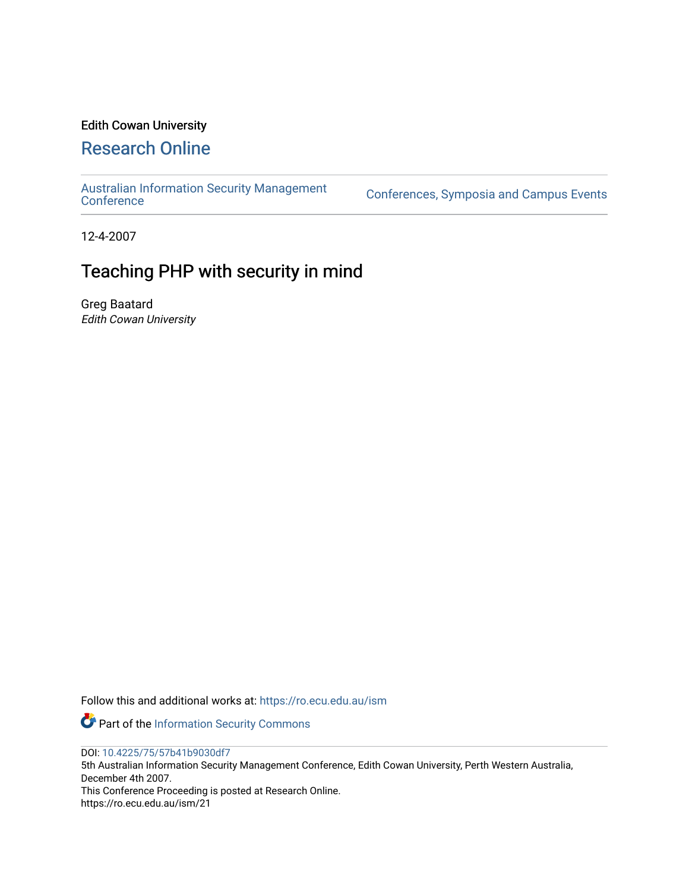## Edith Cowan University

# [Research Online](https://ro.ecu.edu.au/)

[Australian Information Security Management](https://ro.ecu.edu.au/ism) 

[Conference](https://ro.ecu.edu.au/ism)s, Symposia and Campus Events

12-4-2007

# Teaching PHP with security in mind

Greg Baatard Edith Cowan University

Follow this and additional works at: [https://ro.ecu.edu.au/ism](https://ro.ecu.edu.au/ism?utm_source=ro.ecu.edu.au%2Fism%2F21&utm_medium=PDF&utm_campaign=PDFCoverPages) 

Part of the [Information Security Commons](http://network.bepress.com/hgg/discipline/1247?utm_source=ro.ecu.edu.au%2Fism%2F21&utm_medium=PDF&utm_campaign=PDFCoverPages) 

DOI: [10.4225/75/57b41b9030df7](https://doi.org/10.4225/75/57b41b9030df7) 

5th Australian Information Security Management Conference, Edith Cowan University, Perth Western Australia, December 4th 2007.

This Conference Proceeding is posted at Research Online. https://ro.ecu.edu.au/ism/21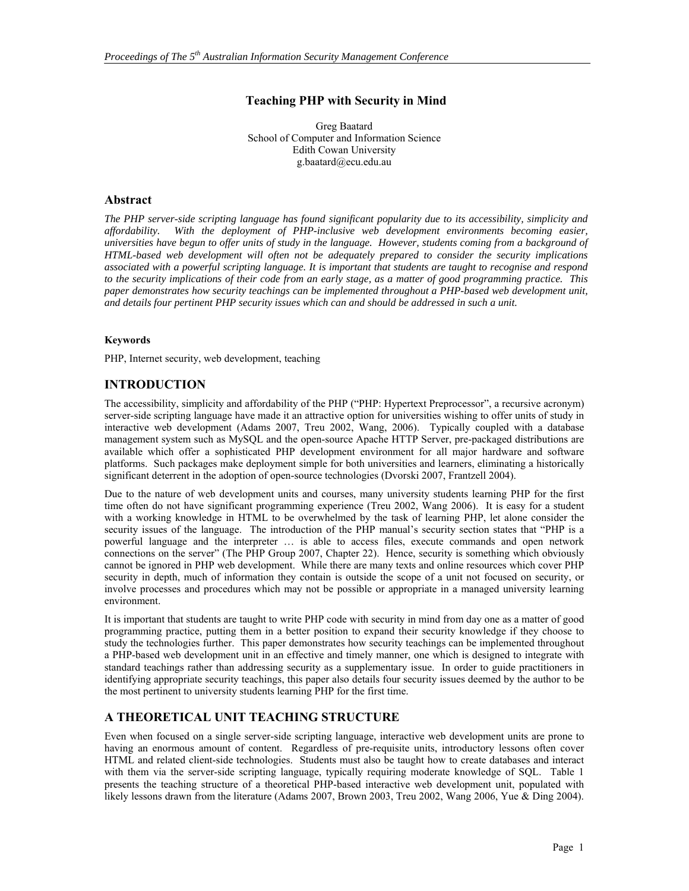## **Teaching PHP with Security in Mind**

Greg Baatard School of Computer and Information Science Edith Cowan University g.baatard@ecu.edu.au

## **Abstract**

*The PHP server-side scripting language has found significant popularity due to its accessibility, simplicity and affordability. With the deployment of PHP-inclusive web development environments becoming easier, universities have begun to offer units of study in the language. However, students coming from a background of HTML-based web development will often not be adequately prepared to consider the security implications associated with a powerful scripting language. It is important that students are taught to recognise and respond to the security implications of their code from an early stage, as a matter of good programming practice. This paper demonstrates how security teachings can be implemented throughout a PHP-based web development unit, and details four pertinent PHP security issues which can and should be addressed in such a unit.* 

### **Keywords**

PHP, Internet security, web development, teaching

## **INTRODUCTION**

The accessibility, simplicity and affordability of the PHP ("PHP: Hypertext Preprocessor", a recursive acronym) server-side scripting language have made it an attractive option for universities wishing to offer units of study in interactive web development (Adams 2007, Treu 2002, Wang, 2006). Typically coupled with a database management system such as MySQL and the open-source Apache HTTP Server, pre-packaged distributions are available which offer a sophisticated PHP development environment for all major hardware and software platforms. Such packages make deployment simple for both universities and learners, eliminating a historically significant deterrent in the adoption of open-source technologies (Dvorski 2007, Frantzell 2004).

Due to the nature of web development units and courses, many university students learning PHP for the first time often do not have significant programming experience (Treu 2002, Wang 2006). It is easy for a student with a working knowledge in HTML to be overwhelmed by the task of learning PHP, let alone consider the security issues of the language. The introduction of the PHP manual's security section states that "PHP is a powerful language and the interpreter … is able to access files, execute commands and open network connections on the server" (The PHP Group 2007, Chapter 22). Hence, security is something which obviously cannot be ignored in PHP web development. While there are many texts and online resources which cover PHP security in depth, much of information they contain is outside the scope of a unit not focused on security, or involve processes and procedures which may not be possible or appropriate in a managed university learning environment.

It is important that students are taught to write PHP code with security in mind from day one as a matter of good programming practice, putting them in a better position to expand their security knowledge if they choose to study the technologies further. This paper demonstrates how security teachings can be implemented throughout a PHP-based web development unit in an effective and timely manner, one which is designed to integrate with standard teachings rather than addressing security as a supplementary issue. In order to guide practitioners in identifying appropriate security teachings, this paper also details four security issues deemed by the author to be the most pertinent to university students learning PHP for the first time.

## **A THEORETICAL UNIT TEACHING STRUCTURE**

Even when focused on a single server-side scripting language, interactive web development units are prone to having an enormous amount of content. Regardless of pre-requisite units, introductory lessons often cover HTML and related client-side technologies. Students must also be taught how to create databases and interact with them via the server-side scripting language, typically requiring moderate knowledge of SQL. Table 1 presents the teaching structure of a theoretical PHP-based interactive web development unit, populated with likely lessons drawn from the literature (Adams 2007, Brown 2003, Treu 2002, Wang 2006, Yue & Ding 2004).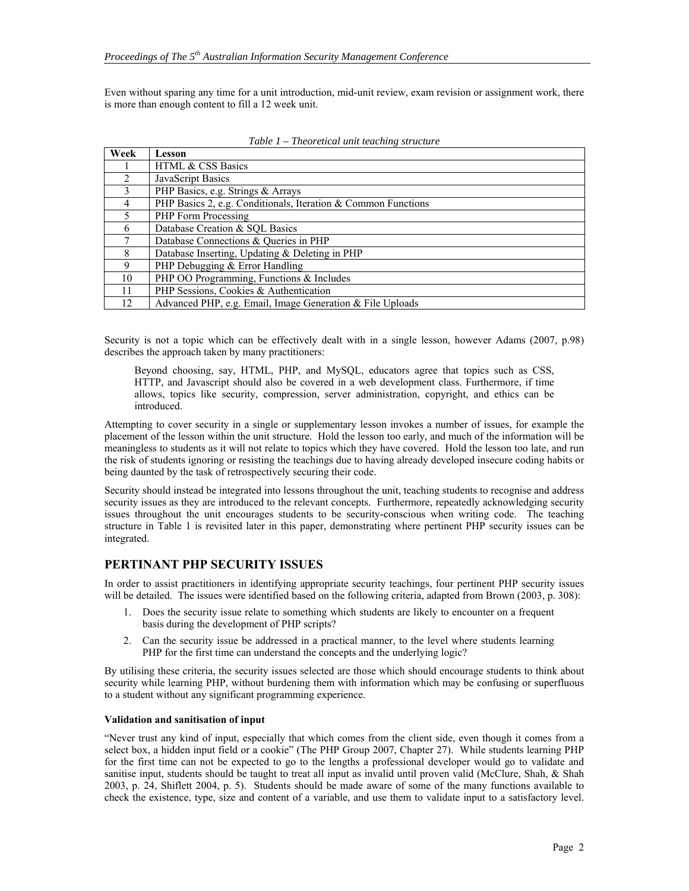Even without sparing any time for a unit introduction, mid-unit review, exam revision or assignment work, there is more than enough content to fill a 12 week unit.

| Week                        | Lesson                                                        |
|-----------------------------|---------------------------------------------------------------|
|                             | <b>HTML &amp; CSS Basics</b>                                  |
| $\mathcal{D}_{\mathcal{A}}$ | JavaScript Basics                                             |
| $\mathcal{E}$               | PHP Basics, e.g. Strings & Arrays                             |
| 4                           | PHP Basics 2, e.g. Conditionals, Iteration & Common Functions |
| 5                           | PHP Form Processing                                           |
| 6                           | Database Creation & SQL Basics                                |
|                             | Database Connections & Queries in PHP                         |
| 8                           | Database Inserting, Updating & Deleting in PHP                |
| 9                           | PHP Debugging & Error Handling                                |
| 10                          | PHP OO Programming, Functions & Includes                      |
| 11                          | PHP Sessions, Cookies & Authentication                        |
| 12                          | Advanced PHP, e.g. Email, Image Generation & File Uploads     |

*Table 1 – Theoretical unit teaching structure* 

Security is not a topic which can be effectively dealt with in a single lesson, however Adams (2007, p.98) describes the approach taken by many practitioners:

Beyond choosing, say, HTML, PHP, and MySQL, educators agree that topics such as CSS, HTTP, and Javascript should also be covered in a web development class. Furthermore, if time allows, topics like security, compression, server administration, copyright, and ethics can be introduced.

Attempting to cover security in a single or supplementary lesson invokes a number of issues, for example the placement of the lesson within the unit structure. Hold the lesson too early, and much of the information will be meaningless to students as it will not relate to topics which they have covered. Hold the lesson too late, and run the risk of students ignoring or resisting the teachings due to having already developed insecure coding habits or being daunted by the task of retrospectively securing their code.

Security should instead be integrated into lessons throughout the unit, teaching students to recognise and address security issues as they are introduced to the relevant concepts. Furthermore, repeatedly acknowledging security issues throughout the unit encourages students to be security-conscious when writing code. The teaching structure in Table 1 is revisited later in this paper, demonstrating where pertinent PHP security issues can be integrated.

#### **PERTINANT PHP SECURITY ISSUES**

In order to assist practitioners in identifying appropriate security teachings, four pertinent PHP security issues will be detailed. The issues were identified based on the following criteria, adapted from Brown (2003, p. 308):

- 1. Does the security issue relate to something which students are likely to encounter on a frequent basis during the development of PHP scripts?
- 2. Can the security issue be addressed in a practical manner, to the level where students learning PHP for the first time can understand the concepts and the underlying logic?

By utilising these criteria, the security issues selected are those which should encourage students to think about security while learning PHP, without burdening them with information which may be confusing or superfluous to a student without any significant programming experience.

#### **Validation and sanitisation of input**

"Never trust any kind of input, especially that which comes from the client side, even though it comes from a select box, a hidden input field or a cookie" (The PHP Group 2007, Chapter 27). While students learning PHP for the first time can not be expected to go to the lengths a professional developer would go to validate and sanitise input, students should be taught to treat all input as invalid until proven valid (McClure, Shah, & Shah 2003, p. 24, Shiflett 2004, p. 5). Students should be made aware of some of the many functions available to check the existence, type, size and content of a variable, and use them to validate input to a satisfactory level.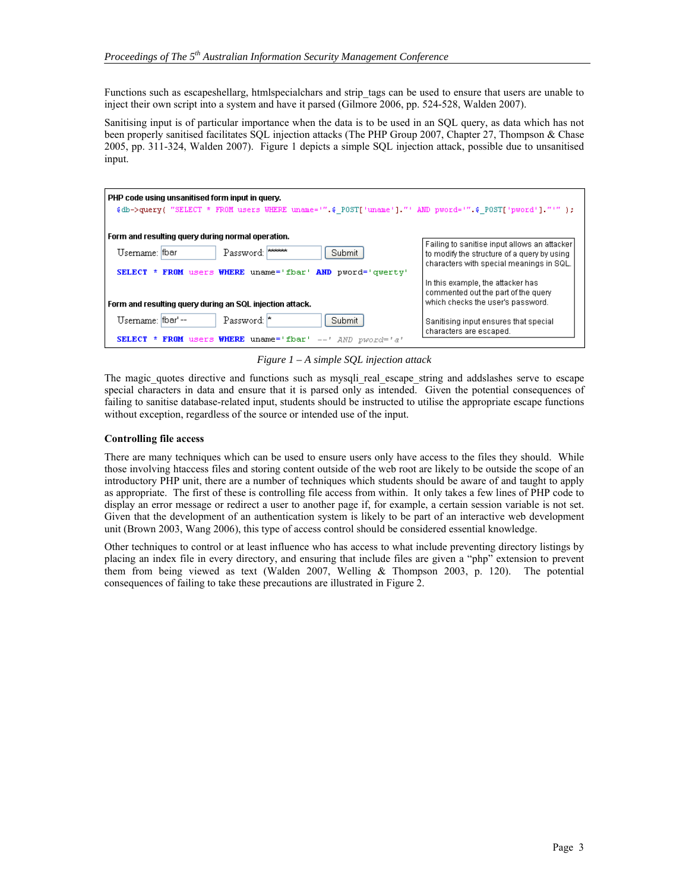Functions such as escapeshellarg, htmlspecialchars and strip tags can be used to ensure that users are unable to inject their own script into a system and have it parsed (Gilmore 2006, pp. 524-528, Walden 2007).

Sanitising input is of particular importance when the data is to be used in an SQL query, as data which has not been properly sanitised facilitates SQL injection attacks (The PHP Group 2007, Chapter 27, Thompson & Chase 2005, pp. 311-324, Walden 2007). Figure 1 depicts a simple SQL injection attack, possible due to unsanitised input.

| Form and resulting query during normal operation.<br>Failing to sanitise input allows an attacker<br>Password: *****<br>Username: fbar<br>Submit<br>to modify the structure of a query by using<br>characters with special meanings in SQL.<br>SELECT * FROM users WHERE uname='fbar' AND pword='qwerty'<br>In this example, the attacker has<br>commented out the part of the query<br>which checks the user's password.<br>Form and resulting query during an SQL injection attack. | PHP code using unsanitised form input in query.<br>\$db->query("SELECT * FROM users WHERE uname='".\$ POST['uname']."' AND pword='".\$ POST['pword']."'"); |                                       |  |  |
|---------------------------------------------------------------------------------------------------------------------------------------------------------------------------------------------------------------------------------------------------------------------------------------------------------------------------------------------------------------------------------------------------------------------------------------------------------------------------------------|------------------------------------------------------------------------------------------------------------------------------------------------------------|---------------------------------------|--|--|
| characters are escaped.                                                                                                                                                                                                                                                                                                                                                                                                                                                               | Password: *<br>Username: fbar'--<br>Submit                                                                                                                 | Sanitising input ensures that special |  |  |

*Figure 1 – A simple SQL injection attack* 

The magic quotes directive and functions such as mysqli real escape string and addslashes serve to escape special characters in data and ensure that it is parsed only as intended. Given the potential consequences of failing to sanitise database-related input, students should be instructed to utilise the appropriate escape functions without exception, regardless of the source or intended use of the input.

#### **Controlling file access**

There are many techniques which can be used to ensure users only have access to the files they should. While those involving htaccess files and storing content outside of the web root are likely to be outside the scope of an introductory PHP unit, there are a number of techniques which students should be aware of and taught to apply as appropriate. The first of these is controlling file access from within. It only takes a few lines of PHP code to display an error message or redirect a user to another page if, for example, a certain session variable is not set. Given that the development of an authentication system is likely to be part of an interactive web development unit (Brown 2003, Wang 2006), this type of access control should be considered essential knowledge.

Other techniques to control or at least influence who has access to what include preventing directory listings by placing an index file in every directory, and ensuring that include files are given a "php" extension to prevent them from being viewed as text (Walden 2007, Welling & Thompson 2003, p. 120). The potential consequences of failing to take these precautions are illustrated in Figure 2.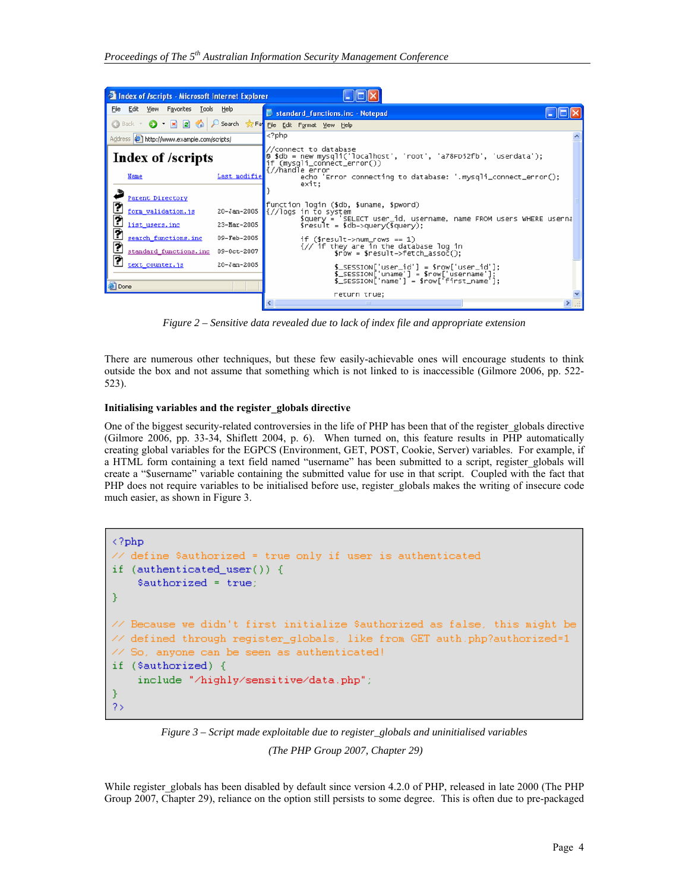

*Figure 2 – Sensitive data revealed due to lack of index file and appropriate extension* 

There are numerous other techniques, but these few easily-achievable ones will encourage students to think outside the box and not assume that something which is not linked to is inaccessible (Gilmore 2006, pp. 522- 523).

#### **Initialising variables and the register\_globals directive**

One of the biggest security-related controversies in the life of PHP has been that of the register\_globals directive (Gilmore 2006, pp. 33-34, Shiflett 2004, p. 6). When turned on, this feature results in PHP automatically creating global variables for the EGPCS (Environment, GET, POST, Cookie, Server) variables. For example, if a HTML form containing a text field named "username" has been submitted to a script, register\_globals will create a "\$username" variable containing the submitted value for use in that script. Coupled with the fact that PHP does not require variables to be initialised before use, register globals makes the writing of insecure code much easier, as shown in Figure 3.

```
\langle ?php// define $authorized = true only if user is authenticated
if (authenticated_user()) {
    $authorized = true;
<sup>}</sup>
   Because we didn't first initialize $authorized as false, this might be
   defined through register globals, like from GET auth.php?authorized=1
   So, anyone can be seen as authenticated!
11.
if ($authorized) {
    include "/highly/sensitive/data.php";
\mathcal{Y}2\,
```
*Figure 3 – Script made exploitable due to register\_globals and uninitialised variables* 

 *(The PHP Group 2007, Chapter 29)* 

While register globals has been disabled by default since version 4.2.0 of PHP, released in late 2000 (The PHP Group 2007, Chapter 29), reliance on the option still persists to some degree. This is often due to pre-packaged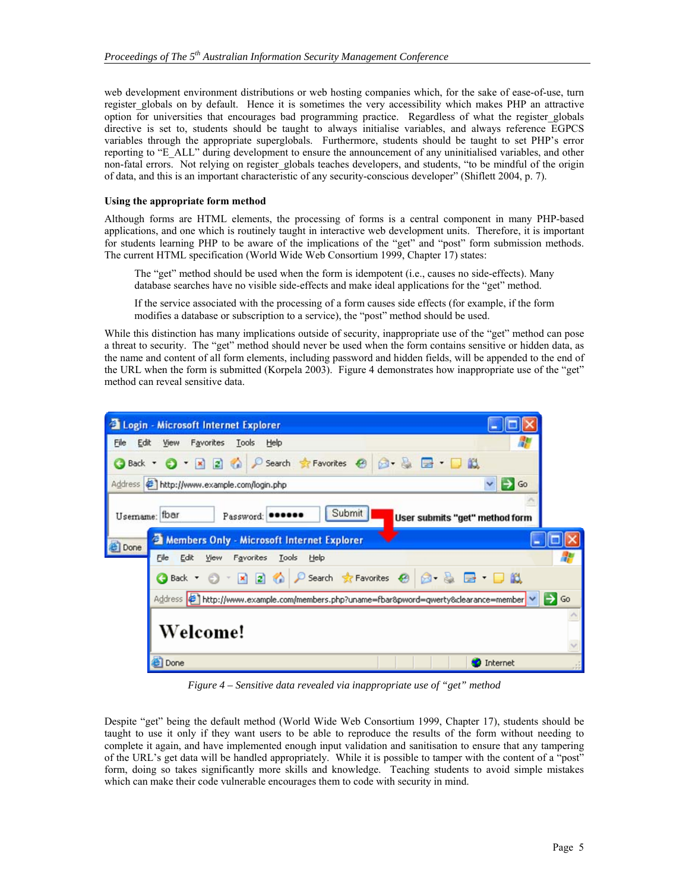web development environment distributions or web hosting companies which, for the sake of ease-of-use, turn register globals on by default. Hence it is sometimes the very accessibility which makes PHP an attractive option for universities that encourages bad programming practice. Regardless of what the register\_globals directive is set to, students should be taught to always initialise variables, and always reference EGPCS variables through the appropriate superglobals. Furthermore, students should be taught to set PHP's error reporting to "E\_ALL" during development to ensure the announcement of any uninitialised variables, and other non-fatal errors. Not relying on register globals teaches developers, and students, "to be mindful of the origin of data, and this is an important characteristic of any security-conscious developer" (Shiflett 2004, p. 7).

#### **Using the appropriate form method**

Although forms are HTML elements, the processing of forms is a central component in many PHP-based applications, and one which is routinely taught in interactive web development units. Therefore, it is important for students learning PHP to be aware of the implications of the "get" and "post" form submission methods. The current HTML specification (World Wide Web Consortium 1999, Chapter 17) states:

The "get" method should be used when the form is idempotent (i.e., causes no side-effects). Many database searches have no visible side-effects and make ideal applications for the "get" method.

If the service associated with the processing of a form causes side effects (for example, if the form modifies a database or subscription to a service), the "post" method should be used.

While this distinction has many implications outside of security, inappropriate use of the "get" method can pose a threat to security. The "get" method should never be used when the form contains sensitive or hidden data, as the name and content of all form elements, including password and hidden fields, will be appended to the end of the URL when the form is submitted (Korpela 2003). Figure 4 demonstrates how inappropriate use of the "get" method can reveal sensitive data.

| <b>El Login - Microsoft Internet Explorer</b>                                                                               |  |
|-----------------------------------------------------------------------------------------------------------------------------|--|
| Edit<br>Favorites<br>File<br>Tools Help<br>View                                                                             |  |
| Search <b>R</b> Favorites <sup>@</sup><br>26<br>$\blacksquare$<br>$ \mathbf{x}$<br>Back *                                   |  |
| Address & http://www.example.com/login.php<br>→<br>Go<br>$\checkmark$                                                       |  |
| Submit<br>fbar<br>Usemame:<br>Password: OCCOOO<br>User submits "get" method form                                            |  |
| Members Only - Microsoft Internet Explorer<br>Done                                                                          |  |
| File<br>Edit<br>Favorites<br>Tools<br>View<br>Help                                                                          |  |
| ○ Search ☆ Favorites ④ 2 - A 国 · 口 畝<br>$\sqrt{2}$<br>$\vert x \vert$<br>Back +                                             |  |
| $\Rightarrow$ Go<br>Address ( <mark>金)</mark> http://www.example.com/members.php?uname=fbar&pword=qwerty&clearance=member v |  |
| Welcome!                                                                                                                    |  |
| <b>B</b> Done<br>Internet                                                                                                   |  |

*Figure 4 – Sensitive data revealed via inappropriate use of "get" method* 

Despite "get" being the default method (World Wide Web Consortium 1999, Chapter 17), students should be taught to use it only if they want users to be able to reproduce the results of the form without needing to complete it again, and have implemented enough input validation and sanitisation to ensure that any tampering of the URL's get data will be handled appropriately. While it is possible to tamper with the content of a "post" form, doing so takes significantly more skills and knowledge. Teaching students to avoid simple mistakes which can make their code vulnerable encourages them to code with security in mind.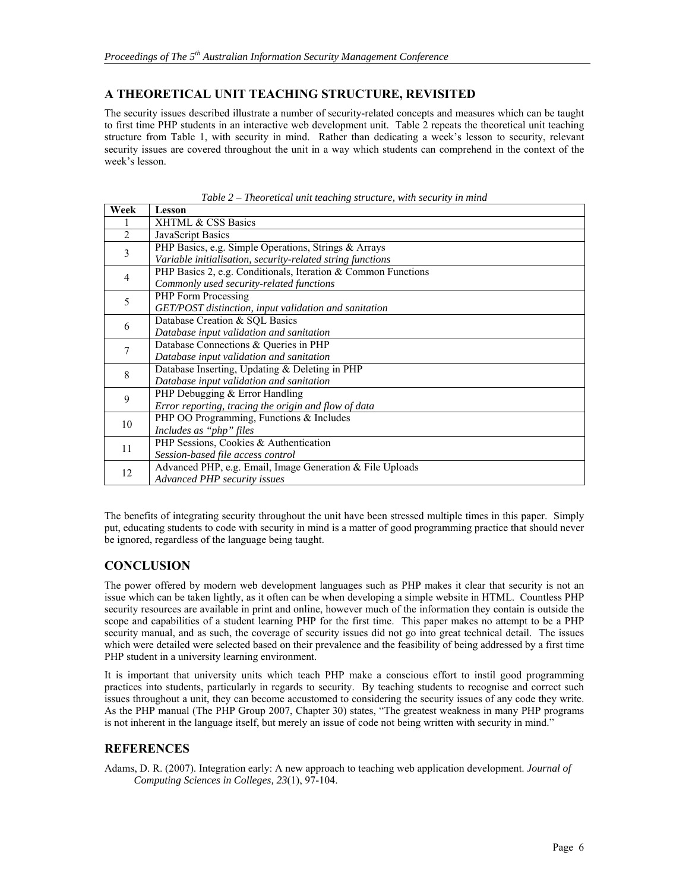## **A THEORETICAL UNIT TEACHING STRUCTURE, REVISITED**

The security issues described illustrate a number of security-related concepts and measures which can be taught to first time PHP students in an interactive web development unit. Table 2 repeats the theoretical unit teaching structure from Table 1, with security in mind. Rather than dedicating a week's lesson to security, relevant security issues are covered throughout the unit in a way which students can comprehend in the context of the week's lesson.

| Week           | Lesson                                                        |
|----------------|---------------------------------------------------------------|
|                | XHTML & CSS Basics                                            |
| $\overline{2}$ | JavaScript Basics                                             |
| 3              | PHP Basics, e.g. Simple Operations, Strings & Arrays          |
|                | Variable initialisation, security-related string functions    |
| $\overline{4}$ | PHP Basics 2, e.g. Conditionals, Iteration & Common Functions |
|                | Commonly used security-related functions                      |
| 5              | PHP Form Processing                                           |
|                | GET/POST distinction, input validation and sanitation         |
| 6              | Database Creation & SQL Basics                                |
|                | Database input validation and sanitation                      |
| 7              | Database Connections & Oueries in PHP                         |
|                | Database input validation and sanitation                      |
| 8              | Database Inserting, Updating & Deleting in PHP                |
|                | Database input validation and sanitation                      |
| 9              | PHP Debugging & Error Handling                                |
|                | Error reporting, tracing the origin and flow of data          |
| 10             | PHP OO Programming, Functions & Includes                      |
|                | Includes as "php" files                                       |
| 11             | PHP Sessions, Cookies & Authentication                        |
|                | Session-based file access control                             |
| 12             | Advanced PHP, e.g. Email, Image Generation & File Uploads     |
|                | Advanced PHP security issues                                  |

*Table 2 – Theoretical unit teaching structure, with security in mind* 

The benefits of integrating security throughout the unit have been stressed multiple times in this paper. Simply put, educating students to code with security in mind is a matter of good programming practice that should never be ignored, regardless of the language being taught.

## **CONCLUSION**

The power offered by modern web development languages such as PHP makes it clear that security is not an issue which can be taken lightly, as it often can be when developing a simple website in HTML. Countless PHP security resources are available in print and online, however much of the information they contain is outside the scope and capabilities of a student learning PHP for the first time. This paper makes no attempt to be a PHP security manual, and as such, the coverage of security issues did not go into great technical detail. The issues which were detailed were selected based on their prevalence and the feasibility of being addressed by a first time PHP student in a university learning environment.

It is important that university units which teach PHP make a conscious effort to instil good programming practices into students, particularly in regards to security. By teaching students to recognise and correct such issues throughout a unit, they can become accustomed to considering the security issues of any code they write. As the PHP manual (The PHP Group 2007, Chapter 30) states, "The greatest weakness in many PHP programs is not inherent in the language itself, but merely an issue of code not being written with security in mind."

## **REFERENCES**

Adams, D. R. (2007). Integration early: A new approach to teaching web application development. *Journal of Computing Sciences in Colleges, 23*(1), 97-104.